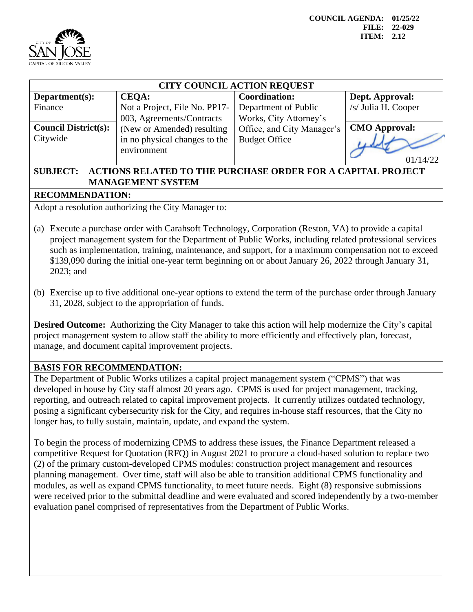



| <b>CITY COUNCIL ACTION REQUEST</b> |                                              |                            |                      |  |  |  |
|------------------------------------|----------------------------------------------|----------------------------|----------------------|--|--|--|
| Department $(s)$ :                 | <b>CEOA:</b>                                 | <b>Coordination:</b>       | Dept. Approval:      |  |  |  |
| Finance                            | Not a Project, File No. PP17-                | Department of Public       | /s/ Julia H. Cooper  |  |  |  |
|                                    | 003, Agreements/Contracts                    | Works, City Attorney's     |                      |  |  |  |
| <b>Council District(s):</b>        | (New or Amended) resulting                   | Office, and City Manager's | <b>CMO Approval:</b> |  |  |  |
| Citywide                           | in no physical changes to the<br>environment | <b>Budget Office</b>       |                      |  |  |  |
|                                    |                                              |                            | 14/22                |  |  |  |

## **SUBJECT: ACTIONS RELATED TO THE PURCHASE ORDER FOR A CAPITAL PROJECT MANAGEMENT SYSTEM**

## **RECOMMENDATION:**

Adopt a resolution authorizing the City Manager to:

- (a) Execute a purchase order with Carahsoft Technology, Corporation (Reston, VA) to provide a capital project management system for the Department of Public Works, including related professional services such as implementation, training, maintenance, and support, for a maximum compensation not to exceed \$139,090 during the initial one-year term beginning on or about January 26, 2022 through January 31, 2023; and
- (b) Exercise up to five additional one-year options to extend the term of the purchase order through January 31, 2028, subject to the appropriation of funds.

**Desired Outcome:** Authorizing the City Manager to take this action will help modernize the City's capital project management system to allow staff the ability to more efficiently and effectively plan, forecast, manage, and document capital improvement projects.

## **BASIS FOR RECOMMENDATION:**

The Department of Public Works utilizes a capital project management system ("CPMS") that was developed in house by City staff almost 20 years ago. CPMS is used for project management, tracking, reporting, and outreach related to capital improvement projects. It currently utilizes outdated technology, posing a significant cybersecurity risk for the City, and requires in-house staff resources, that the City no longer has, to fully sustain, maintain, update, and expand the system.

To begin the process of modernizing CPMS to address these issues, the Finance Department released a competitive Request for Quotation (RFQ) in August 2021 to procure a cloud-based solution to replace two (2) of the primary custom-developed CPMS modules: construction project management and resources planning management. Over time, staff will also be able to transition additional CPMS functionality and modules, as well as expand CPMS functionality, to meet future needs. Eight (8) responsive submissions were received prior to the submittal deadline and were evaluated and scored independently by a two-member evaluation panel comprised of representatives from the Department of Public Works.